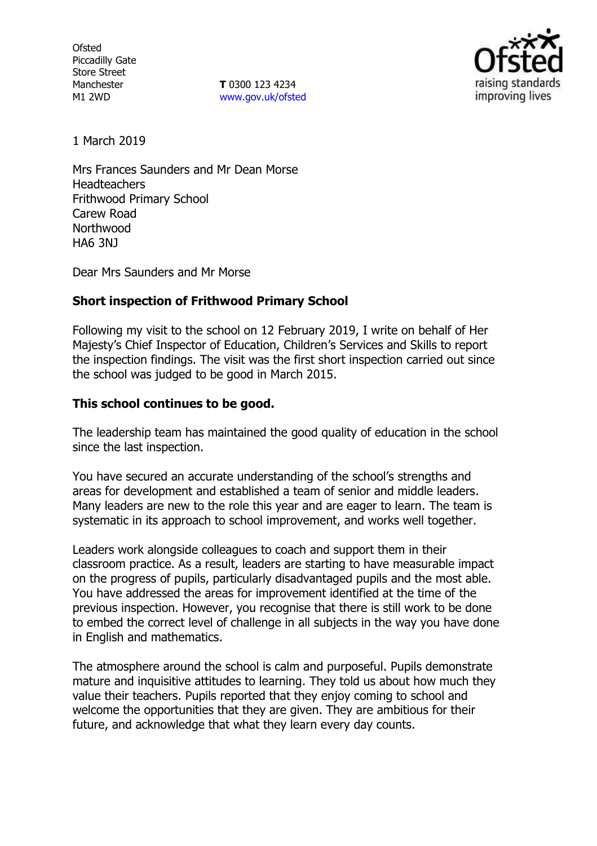**Ofsted** Piccadilly Gate Store Street Manchester M1 2WD

**T** 0300 123 4234 www.gov.uk/ofsted



1 March 2019

Mrs Frances Saunders and Mr Dean Morse **Headteachers** Frithwood Primary School Carew Road **Northwood** HA6 3NJ

Dear Mrs Saunders and Mr Morse

## **Short inspection of Frithwood Primary School**

Following my visit to the school on 12 February 2019, I write on behalf of Her Majesty's Chief Inspector of Education, Children's Services and Skills to report the inspection findings. The visit was the first short inspection carried out since the school was judged to be good in March 2015.

## **This school continues to be good.**

The leadership team has maintained the good quality of education in the school since the last inspection.

You have secured an accurate understanding of the school's strengths and areas for development and established a team of senior and middle leaders. Many leaders are new to the role this year and are eager to learn. The team is systematic in its approach to school improvement, and works well together.

Leaders work alongside colleagues to coach and support them in their classroom practice. As a result, leaders are starting to have measurable impact on the progress of pupils, particularly disadvantaged pupils and the most able. You have addressed the areas for improvement identified at the time of the previous inspection. However, you recognise that there is still work to be done to embed the correct level of challenge in all subjects in the way you have done in English and mathematics.

The atmosphere around the school is calm and purposeful. Pupils demonstrate mature and inquisitive attitudes to learning. They told us about how much they value their teachers. Pupils reported that they enjoy coming to school and welcome the opportunities that they are given. They are ambitious for their future, and acknowledge that what they learn every day counts.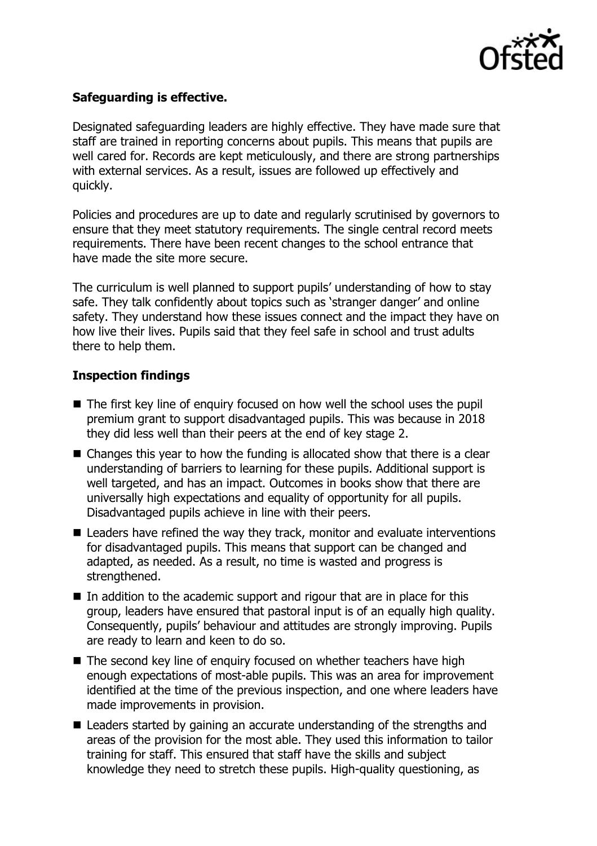

# **Safeguarding is effective.**

Designated safeguarding leaders are highly effective. They have made sure that staff are trained in reporting concerns about pupils. This means that pupils are well cared for. Records are kept meticulously, and there are strong partnerships with external services. As a result, issues are followed up effectively and quickly.

Policies and procedures are up to date and regularly scrutinised by governors to ensure that they meet statutory requirements. The single central record meets requirements. There have been recent changes to the school entrance that have made the site more secure.

The curriculum is well planned to support pupils' understanding of how to stay safe. They talk confidently about topics such as 'stranger danger' and online safety. They understand how these issues connect and the impact they have on how live their lives. Pupils said that they feel safe in school and trust adults there to help them.

#### **Inspection findings**

- The first key line of enquiry focused on how well the school uses the pupil premium grant to support disadvantaged pupils. This was because in 2018 they did less well than their peers at the end of key stage 2.
- Changes this year to how the funding is allocated show that there is a clear understanding of barriers to learning for these pupils. Additional support is well targeted, and has an impact. Outcomes in books show that there are universally high expectations and equality of opportunity for all pupils. Disadvantaged pupils achieve in line with their peers.
- Leaders have refined the way they track, monitor and evaluate interventions for disadvantaged pupils. This means that support can be changed and adapted, as needed. As a result, no time is wasted and progress is strengthened.
- $\blacksquare$  In addition to the academic support and rigour that are in place for this group, leaders have ensured that pastoral input is of an equally high quality. Consequently, pupils' behaviour and attitudes are strongly improving. Pupils are ready to learn and keen to do so.
- The second key line of enquiry focused on whether teachers have high enough expectations of most-able pupils. This was an area for improvement identified at the time of the previous inspection, and one where leaders have made improvements in provision.
- Leaders started by gaining an accurate understanding of the strengths and areas of the provision for the most able. They used this information to tailor training for staff. This ensured that staff have the skills and subject knowledge they need to stretch these pupils. High-quality questioning, as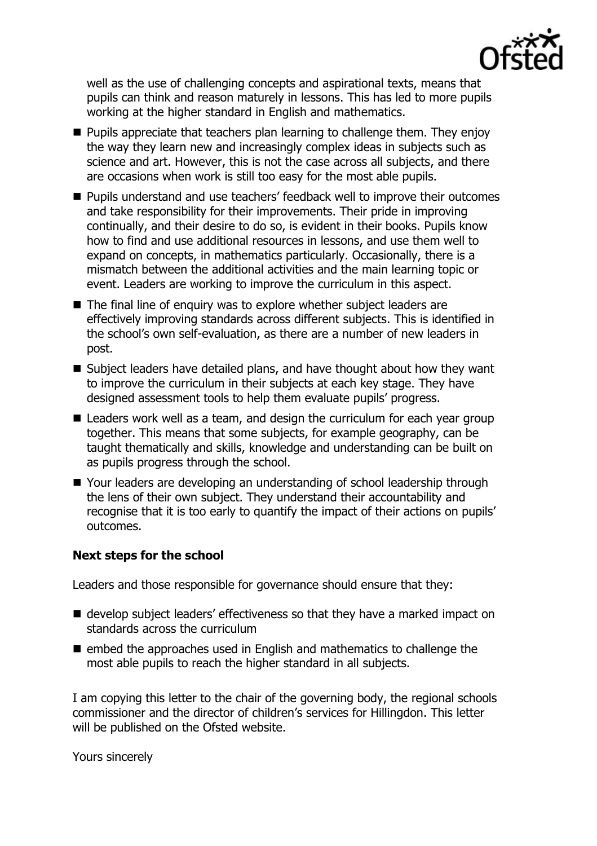

well as the use of challenging concepts and aspirational texts, means that pupils can think and reason maturely in lessons. This has led to more pupils working at the higher standard in English and mathematics.

- **Pupils appreciate that teachers plan learning to challenge them. They enjoy** the way they learn new and increasingly complex ideas in subjects such as science and art. However, this is not the case across all subjects, and there are occasions when work is still too easy for the most able pupils.
- **Pupils understand and use teachers' feedback well to improve their outcomes** and take responsibility for their improvements. Their pride in improving continually, and their desire to do so, is evident in their books. Pupils know how to find and use additional resources in lessons, and use them well to expand on concepts, in mathematics particularly. Occasionally, there is a mismatch between the additional activities and the main learning topic or event. Leaders are working to improve the curriculum in this aspect.
- The final line of enquiry was to explore whether subject leaders are effectively improving standards across different subjects. This is identified in the school's own self-evaluation, as there are a number of new leaders in post.
- Subject leaders have detailed plans, and have thought about how they want to improve the curriculum in their subjects at each key stage. They have designed assessment tools to help them evaluate pupils' progress.
- Leaders work well as a team, and design the curriculum for each year group together. This means that some subjects, for example geography, can be taught thematically and skills, knowledge and understanding can be built on as pupils progress through the school.
- Your leaders are developing an understanding of school leadership through the lens of their own subject. They understand their accountability and recognise that it is too early to quantify the impact of their actions on pupils' outcomes.

## **Next steps for the school**

Leaders and those responsible for governance should ensure that they:

- develop subject leaders' effectiveness so that they have a marked impact on standards across the curriculum
- $\blacksquare$  embed the approaches used in English and mathematics to challenge the most able pupils to reach the higher standard in all subjects.

I am copying this letter to the chair of the governing body, the regional schools commissioner and the director of children's services for Hillingdon. This letter will be published on the Ofsted website.

Yours sincerely